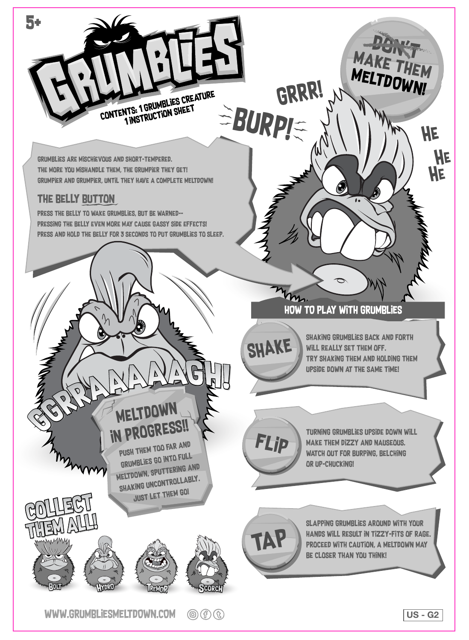

WWW.GRUMBLIESMELTDOWN.COM  $\circledcirc$  (f)  $\circledcirc$